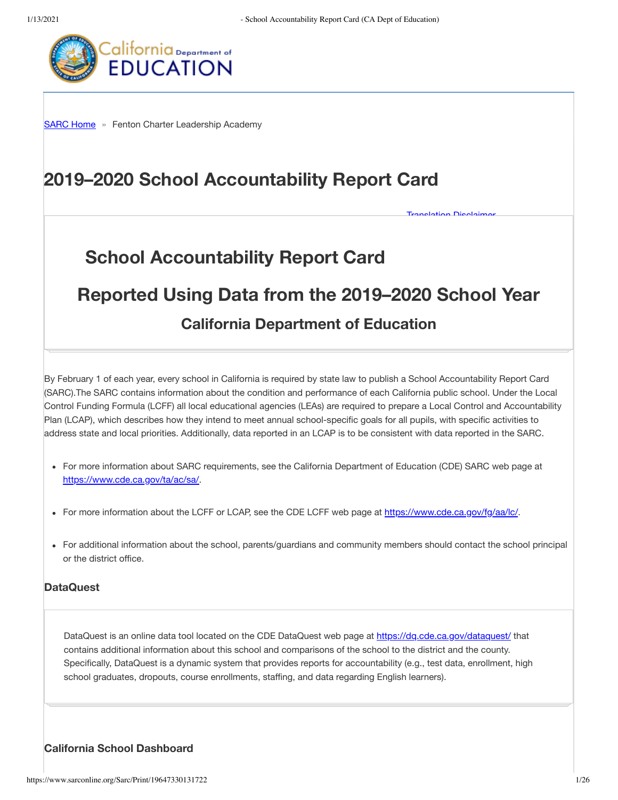**Tranglation Disalaima** 



**SARC Home** » Fenton Charter Leadership Academy

# 2019-2020 School Accountability Report Card

# **School Accountability Report Card**

# Reported Using Data from the 2019–2020 School Year

# **California Department of Education**

By February 1 of each year, every school in California is required by state law to publish a School Accountability Report Card (SARC). The SARC contains information about the condition and performance of each California public school. Under the Local Control Funding Formula (LCFF) all local educational agencies (LEAs) are required to prepare a Local Control and Accountability Plan (LCAP), which describes how they intend to meet annual school-specific goals for all pupils, with specific activities to address state and local priorities. Additionally, data reported in an LCAP is to be consistent with data reported in the SARC.

- For more information about SARC requirements, see the California Department of Education (CDE) SARC web page at https://www.cde.ca.gov/ta/ac/sa/.
- For more information about the LCFF or LCAP, see the CDE LCFF web page at https://www.cde.ca.gov/fg/aa/lc/.
- For additional information about the school, parents/guardians and community members should contact the school principal or the district office.

#### **DataQuest**

DataQuest is an online data tool located on the CDE DataQuest web page at https://dg.cde.ca.gov/dataquest/ that contains additional information about this school and comparisons of the school to the district and the county. Specifically, DataQuest is a dynamic system that provides reports for accountability (e.g., test data, enrollment, high school graduates, dropouts, course enrollments, staffing, and data regarding English learners).

#### **California School Dashboard**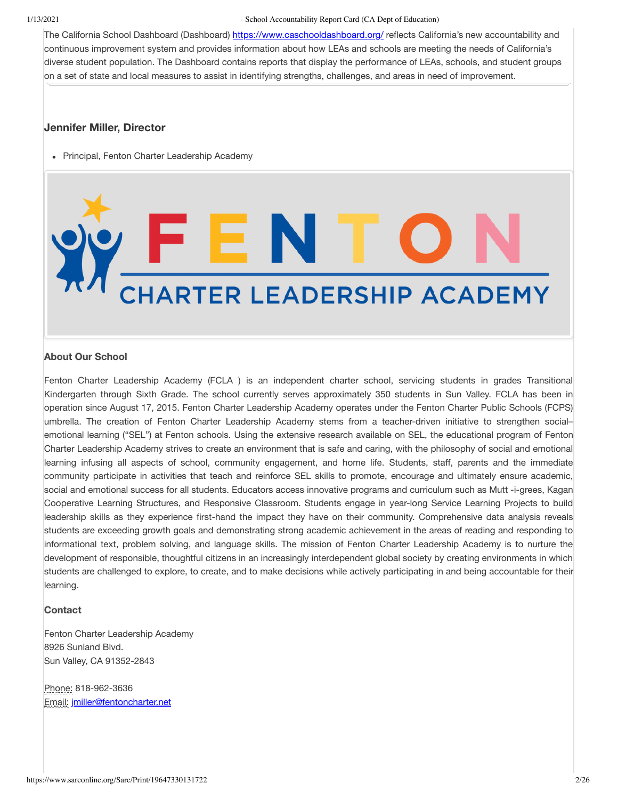The California School Dashboard (Dashboard) https://www.caschooldashboard.org/ reflects California's new accountability and continuous improvement system and provides information about how LEAs and schools are meeting the needs of California's diverse student population. The Dashboard contains reports that display the performance of LEAs, schools, and student groups on a set of state and local measures to assist in identifying strengths, challenges, and areas in need of improvement.

#### Jennifer Miller, Director

• Principal, Fenton Charter Leadership Academy

# THE NUCK

#### **About Our School**

Fenton Charter Leadership Academy (FCLA) is an independent charter school, servicing students in grades Transitional Kindergarten through Sixth Grade. The school currently serves approximately 350 students in Sun Valley. FCLA has been in operation since August 17, 2015. Fenton Charter Leadership Academy operates under the Fenton Charter Public Schools (FCPS) umbrella. The creation of Fenton Charter Leadership Academy stems from a teacher-driven initiative to strengthen socialemotional learning ("SEL") at Fenton schools. Using the extensive research available on SEL, the educational program of Fenton Charter Leadership Academy strives to create an environment that is safe and caring, with the philosophy of social and emotional learning infusing all aspects of school, community engagement, and home life. Students, staff, parents and the immediate community participate in activities that teach and reinforce SEL skills to promote, encourage and ultimately ensure academic, social and emotional success for all students. Educators access innovative programs and curriculum such as Mutt-i-grees, Kagan Cooperative Learning Structures, and Responsive Classroom. Students engage in year-long Service Learning Projects to build leadership skills as they experience first-hand the impact they have on their community. Comprehensive data analysis reveals students are exceeding growth goals and demonstrating strong academic achievement in the areas of reading and responding to informational text, problem solving, and language skills. The mission of Fenton Charter Leadership Academy is to nurture the development of responsible, thoughtful citizens in an increasingly interdependent global society by creating environments in which students are challenged to explore, to create, and to make decisions while actively participating in and being accountable for their learning.

#### **Contact**

Fenton Charter Leadership Academy 8926 Sunland Blvd. Sun Valley, CA 91352-2843

Phone: 818-962-3636 Email: jmiller@fentoncharter.net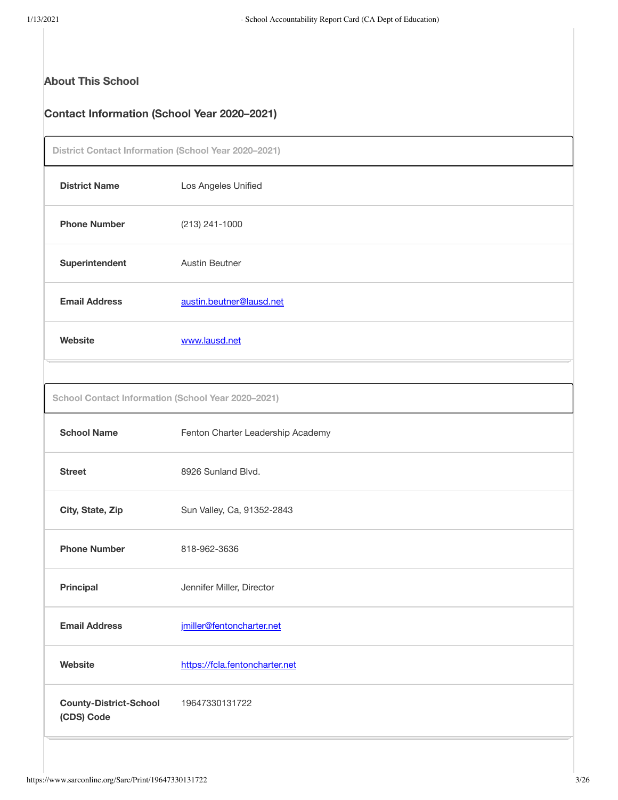# **About This School**

# **Contact Information (School Year 2020-2021)**

| District Contact Information (School Year 2020-2021) |                                   |
|------------------------------------------------------|-----------------------------------|
| <b>District Name</b>                                 | Los Angeles Unified               |
| <b>Phone Number</b>                                  | (213) 241-1000                    |
| Superintendent                                       | <b>Austin Beutner</b>             |
| <b>Email Address</b>                                 | austin.beutner@lausd.net          |
| Website                                              | www.lausd.net                     |
|                                                      |                                   |
| School Contact Information (School Year 2020-2021)   |                                   |
| <b>School Name</b>                                   | Fenton Charter Leadership Academy |
| <b>Street</b>                                        | 8926 Sunland Blvd.                |
| City, State, Zip                                     | Sun Valley, Ca, 91352-2843        |
| <b>Phone Number</b>                                  | 818-962-3636                      |
| <b>Principal</b>                                     | Jennifer Miller, Director         |
| <b>Email Address</b>                                 | jmiller@fentoncharter.net         |
| Website                                              | https://fcla.fentoncharter.net    |
| <b>County-District-School</b><br>(CDS) Code          | 19647330131722                    |
|                                                      |                                   |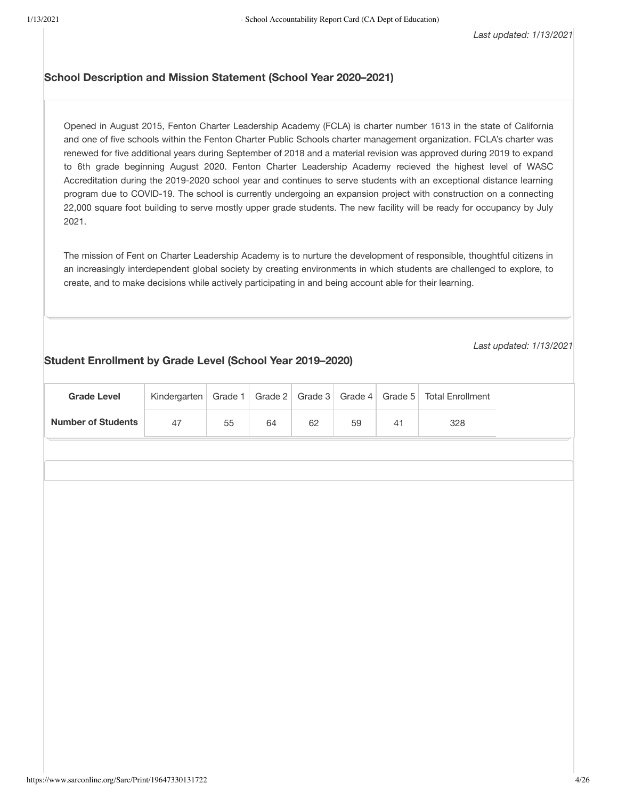#### School Description and Mission Statement (School Year 2020-2021)

Opened in August 2015, Fenton Charter Leadership Academy (FCLA) is charter number 1613 in the state of California and one of five schools within the Fenton Charter Public Schools charter management organization. FCLA's charter was renewed for five additional years during September of 2018 and a material revision was approved during 2019 to expand to 6th grade beginning August 2020. Fenton Charter Leadership Academy recieved the highest level of WASC Accreditation during the 2019-2020 school year and continues to serve students with an exceptional distance learning program due to COVID-19. The school is currently undergoing an expansion project with construction on a connecting 22,000 square foot building to serve mostly upper grade students. The new facility will be ready for occupancy by July 2021.

The mission of Fent on Charter Leadership Academy is to nurture the development of responsible, thoughtful citizens in an increasingly interdependent global society by creating environments in which students are challenged to explore, to create, and to make decisions while actively participating in and being account able for their learning.

Last updated: 1/13/2021

#### Student Enrollment by Grade Level (School Year 2019-2020)

| <b>Grade Level</b>        | Kindergarten | Grade 1 | Grade 2 | Grade 3 | Grade 4 | Grade 5 | <b>Total Enrollment</b> |  |
|---------------------------|--------------|---------|---------|---------|---------|---------|-------------------------|--|
| <b>Number of Students</b> | 47           | 55      | 64      | 62      | 59      | 41      | 328                     |  |
|                           |              |         |         |         |         |         |                         |  |
|                           |              |         |         |         |         |         |                         |  |
|                           |              |         |         |         |         |         |                         |  |
|                           |              |         |         |         |         |         |                         |  |
|                           |              |         |         |         |         |         |                         |  |
|                           |              |         |         |         |         |         |                         |  |
|                           |              |         |         |         |         |         |                         |  |
|                           |              |         |         |         |         |         |                         |  |
|                           |              |         |         |         |         |         |                         |  |
|                           |              |         |         |         |         |         |                         |  |
|                           |              |         |         |         |         |         |                         |  |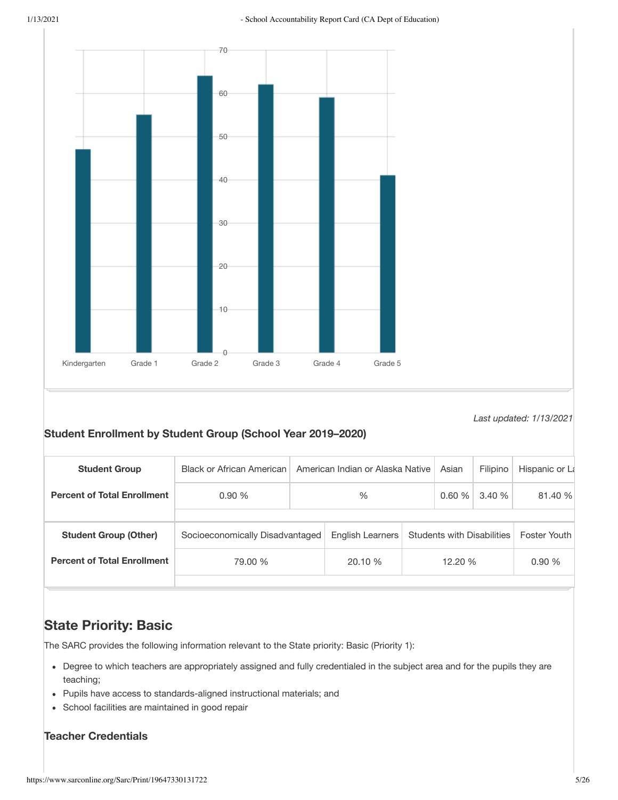

Last updated: 1/13/2021

# Student Enrollment by Student Group (School Year 2019-2020)

| <b>Student Group</b>               | <b>Black or African American</b> | American Indian or Alaska Native |                  |                                   | Asian | Filipino     | Hispanic or La |
|------------------------------------|----------------------------------|----------------------------------|------------------|-----------------------------------|-------|--------------|----------------|
| <b>Percent of Total Enrollment</b> | 0.90%                            | $\%$                             |                  |                                   | 0.60% | 3.40 %       | 81.40 %        |
|                                    |                                  |                                  |                  |                                   |       |              |                |
| <b>Student Group (Other)</b>       | Socioeconomically Disadvantaged  |                                  | English Learners | <b>Students with Disabilities</b> |       | Foster Youth |                |
| <b>Percent of Total Enrollment</b> | 79.00 %                          |                                  | 20.10 %          | 12.20 %                           |       |              | 0.90%          |
|                                    |                                  |                                  |                  |                                   |       |              |                |

# **State Priority: Basic**

The SARC provides the following information relevant to the State priority: Basic (Priority 1):

- Degree to which teachers are appropriately assigned and fully credentialed in the subject area and for the pupils they are teaching;
- Pupils have access to standards-aligned instructional materials; and
- School facilities are maintained in good repair

# **Teacher Credentials**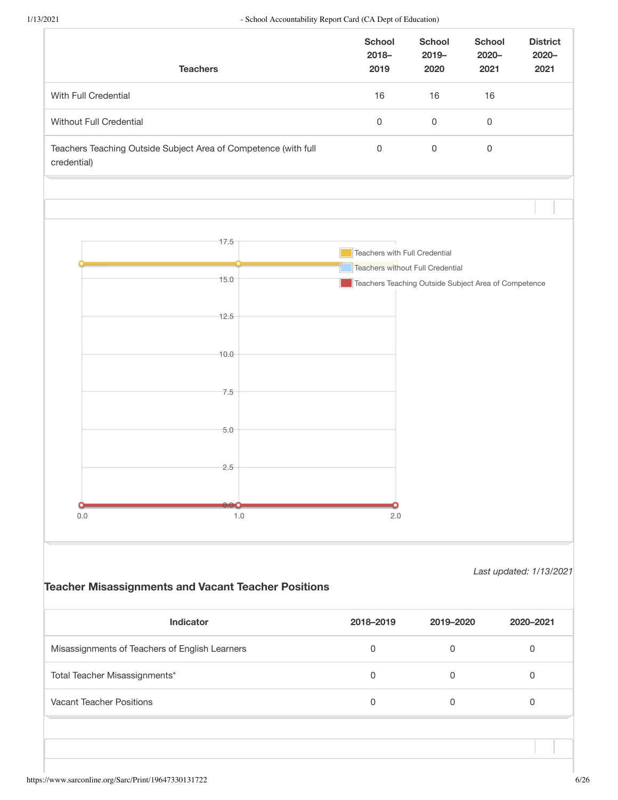|                                                | <b>Teachers</b>                                                 | <b>School</b><br>$2018 -$<br>2019 | <b>School</b><br>$2019 -$<br>2020                    | <b>School</b><br>$2020 -$<br>2021 | <b>District</b><br>$2020 -$<br>2021 |
|------------------------------------------------|-----------------------------------------------------------------|-----------------------------------|------------------------------------------------------|-----------------------------------|-------------------------------------|
| With Full Credential                           |                                                                 | 16                                | 16                                                   | 16                                |                                     |
| Without Full Credential                        |                                                                 | $\mathsf 0$                       | $\mathsf 0$                                          | $\mathsf 0$                       |                                     |
| credential)                                    | Teachers Teaching Outside Subject Area of Competence (with full | $\mathsf 0$                       | 0                                                    | $\mathsf 0$                       |                                     |
|                                                |                                                                 |                                   |                                                      |                                   |                                     |
|                                                | 17.5                                                            |                                   |                                                      |                                   |                                     |
|                                                |                                                                 | Teachers with Full Credential     | Teachers without Full Credential                     |                                   |                                     |
|                                                | 15.0                                                            |                                   | Teachers Teaching Outside Subject Area of Competence |                                   |                                     |
|                                                |                                                                 |                                   |                                                      |                                   |                                     |
|                                                | 12.5                                                            |                                   |                                                      |                                   |                                     |
|                                                |                                                                 |                                   |                                                      |                                   |                                     |
|                                                | 10.0                                                            |                                   |                                                      |                                   |                                     |
|                                                |                                                                 |                                   |                                                      |                                   |                                     |
|                                                | 7.5                                                             |                                   |                                                      |                                   |                                     |
|                                                |                                                                 |                                   |                                                      |                                   |                                     |
|                                                | 5.0                                                             |                                   |                                                      |                                   |                                     |
|                                                |                                                                 |                                   |                                                      |                                   |                                     |
|                                                | 2.5                                                             |                                   |                                                      |                                   |                                     |
|                                                |                                                                 |                                   |                                                      |                                   |                                     |
|                                                |                                                                 |                                   |                                                      |                                   |                                     |
| 0.0                                            | 1.0                                                             | 2.0                               |                                                      |                                   |                                     |
|                                                | <b>Teacher Misassignments and Vacant Teacher Positions</b>      |                                   |                                                      | Last updated: 1/13/2021           |                                     |
|                                                | Indicator                                                       | 2018-2019                         | 2019-2020                                            |                                   | 2020-2021                           |
| Misassignments of Teachers of English Learners |                                                                 | $\mathsf 0$                       | $\mathsf 0$                                          |                                   | $\mathsf 0$                         |
| Total Teacher Misassignments*                  |                                                                 | $\mathsf 0$                       | $\mathsf 0$                                          |                                   | $\mathsf{O}\xspace$                 |
| <b>Vacant Teacher Positions</b>                |                                                                 | $\mathsf 0$                       | $\mathsf 0$                                          |                                   | $\mathsf{O}\xspace$                 |
|                                                |                                                                 |                                   |                                                      |                                   |                                     |
|                                                |                                                                 |                                   |                                                      |                                   |                                     |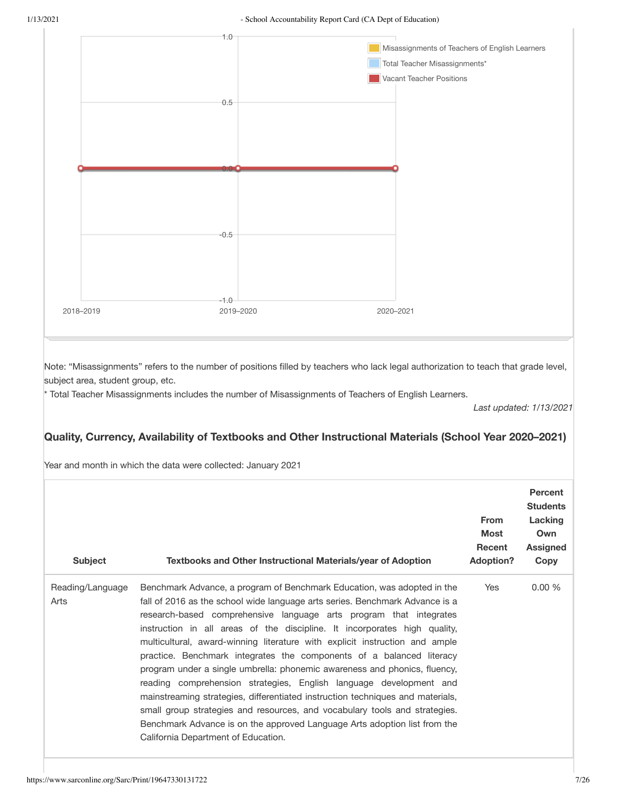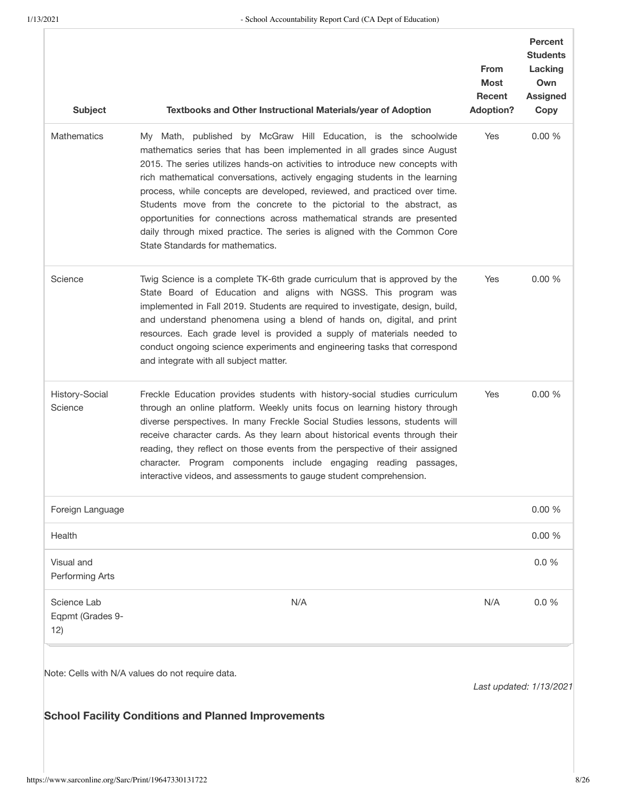| <b>Subject</b>                         | Textbooks and Other Instructional Materials/year of Adoption                                                                                                                                                                                                                                                                                                                                                                                                                                                                                                                                                                                             | <b>From</b><br><b>Most</b><br>Recent<br><b>Adoption?</b> | <b>Percent</b><br><b>Students</b><br>Lacking<br>Own<br><b>Assigned</b><br>Copy |
|----------------------------------------|----------------------------------------------------------------------------------------------------------------------------------------------------------------------------------------------------------------------------------------------------------------------------------------------------------------------------------------------------------------------------------------------------------------------------------------------------------------------------------------------------------------------------------------------------------------------------------------------------------------------------------------------------------|----------------------------------------------------------|--------------------------------------------------------------------------------|
| Mathematics                            | My Math, published by McGraw Hill Education, is the schoolwide<br>mathematics series that has been implemented in all grades since August<br>2015. The series utilizes hands-on activities to introduce new concepts with<br>rich mathematical conversations, actively engaging students in the learning<br>process, while concepts are developed, reviewed, and practiced over time.<br>Students move from the concrete to the pictorial to the abstract, as<br>opportunities for connections across mathematical strands are presented<br>daily through mixed practice. The series is aligned with the Common Core<br>State Standards for mathematics. | Yes                                                      | 0.00 %                                                                         |
| Science                                | Twig Science is a complete TK-6th grade curriculum that is approved by the<br>State Board of Education and aligns with NGSS. This program was<br>implemented in Fall 2019. Students are required to investigate, design, build,<br>and understand phenomena using a blend of hands on, digital, and print<br>resources. Each grade level is provided a supply of materials needed to<br>conduct ongoing science experiments and engineering tasks that correspond<br>and integrate with all subject matter.                                                                                                                                              | Yes                                                      | 0.00%                                                                          |
| History-Social<br>Science              | Freckle Education provides students with history-social studies curriculum<br>through an online platform. Weekly units focus on learning history through<br>diverse perspectives. In many Freckle Social Studies lessons, students will<br>receive character cards. As they learn about historical events through their<br>reading, they reflect on those events from the perspective of their assigned<br>character. Program components include engaging reading passages,<br>interactive videos, and assessments to gauge student comprehension.                                                                                                       | Yes                                                      | 0.00%                                                                          |
| Foreign Language                       |                                                                                                                                                                                                                                                                                                                                                                                                                                                                                                                                                                                                                                                          |                                                          | 0.00%                                                                          |
| Health                                 |                                                                                                                                                                                                                                                                                                                                                                                                                                                                                                                                                                                                                                                          |                                                          | 0.00%                                                                          |
| Visual and<br>Performing Arts          |                                                                                                                                                                                                                                                                                                                                                                                                                                                                                                                                                                                                                                                          |                                                          | 0.0%                                                                           |
| Science Lab<br>Eqpmt (Grades 9-<br>12) | N/A                                                                                                                                                                                                                                                                                                                                                                                                                                                                                                                                                                                                                                                      | N/A                                                      | 0.0%                                                                           |
|                                        | Note: Cells with N/A values do not require data.<br><b>School Facility Conditions and Planned Improvements</b>                                                                                                                                                                                                                                                                                                                                                                                                                                                                                                                                           | Last updated: 1/13/2021                                  |                                                                                |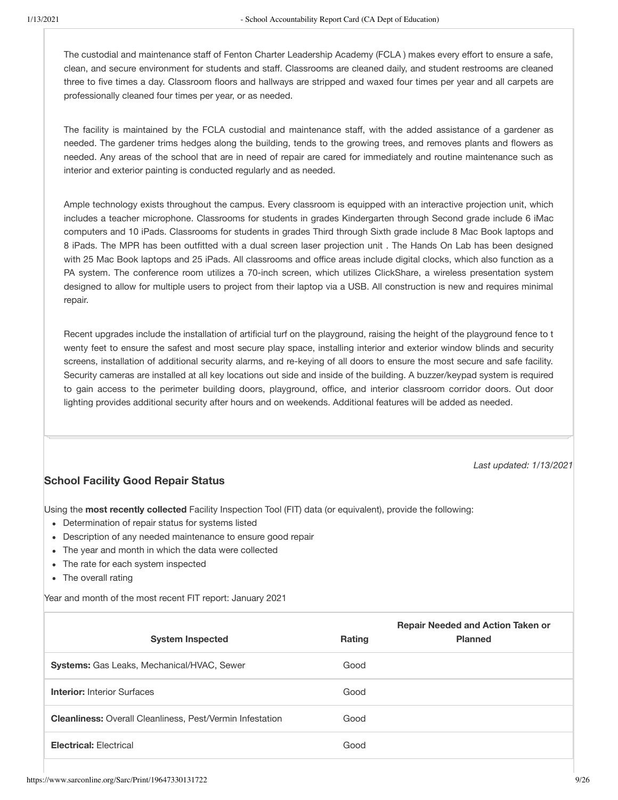The custodial and maintenance staff of Fenton Charter Leadership Academy (FCLA) makes every effort to ensure a safe, clean, and secure environment for students and staff. Classrooms are cleaned daily, and student restrooms are cleaned three to five times a day. Classroom floors and hallways are stripped and waxed four times per year and all carpets are professionally cleaned four times per year, or as needed.

The facility is maintained by the FCLA custodial and maintenance staff, with the added assistance of a gardener as needed. The gardener trims hedges along the building, tends to the growing trees, and removes plants and flowers as needed. Any areas of the school that are in need of repair are cared for immediately and routine maintenance such as interior and exterior painting is conducted regularly and as needed.

Ample technology exists throughout the campus. Every classroom is equipped with an interactive projection unit, which includes a teacher microphone. Classrooms for students in grades Kindergarten through Second grade include 6 iMac computers and 10 iPads. Classrooms for students in grades Third through Sixth grade include 8 Mac Book laptops and 8 iPads. The MPR has been outfitted with a dual screen laser projection unit. The Hands On Lab has been designed with 25 Mac Book laptops and 25 iPads. All classrooms and office areas include digital clocks, which also function as a PA system. The conference room utilizes a 70-inch screen, which utilizes ClickShare, a wireless presentation system designed to allow for multiple users to project from their laptop via a USB. All construction is new and requires minimal repair.

Recent upgrades include the installation of artificial turf on the playground, raising the height of the playground fence to t wenty feet to ensure the safest and most secure play space, installing interior and exterior window blinds and security screens, installation of additional security alarms, and re-keying of all doors to ensure the most secure and safe facility. Security cameras are installed at all key locations out side and inside of the building. A buzzer/keypad system is required to gain access to the perimeter building doors, playground, office, and interior classroom corridor doors. Out door lighting provides additional security after hours and on weekends. Additional features will be added as needed.

Last updated: 1/13/2021

# **School Facility Good Repair Status**

Using the most recently collected Facility Inspection Tool (FIT) data (or equivalent), provide the following:

- Determination of repair status for systems listed
- Description of any needed maintenance to ensure good repair
- The year and month in which the data were collected
- The rate for each system inspected
- The overall rating

Year and month of the most recent FIT report: January 2021

| <b>System Inspected</b>                                          | <b>Rating</b> | <b>Repair Needed and Action Taken or</b><br><b>Planned</b> |
|------------------------------------------------------------------|---------------|------------------------------------------------------------|
| <b>Systems:</b> Gas Leaks, Mechanical/HVAC, Sewer                | Good          |                                                            |
| <b>Interior:</b> Interior Surfaces                               | Good          |                                                            |
| <b>Cleanliness:</b> Overall Cleanliness, Pest/Vermin Infestation | Good          |                                                            |
| <b>Electrical: Flectrical</b>                                    | Good          |                                                            |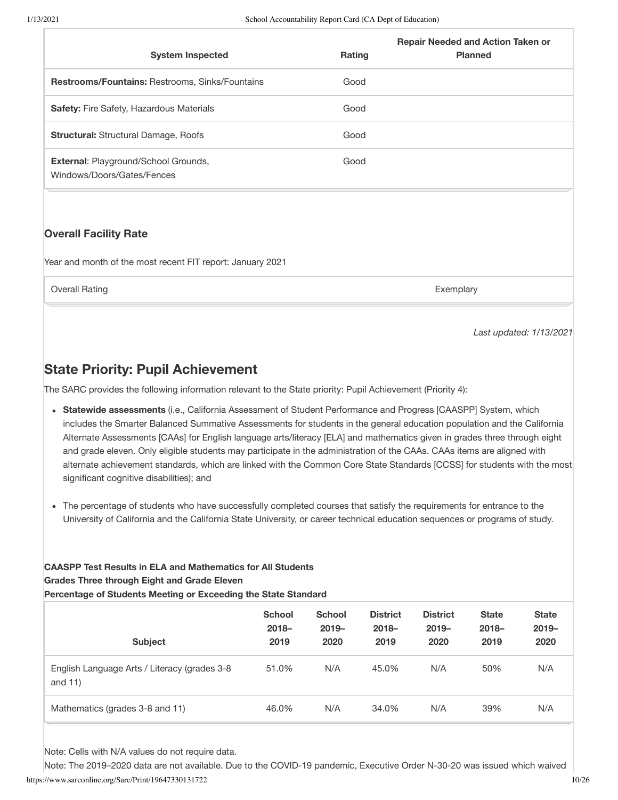| <b>System Inspected</b>                                            | <b>Rating</b> | <b>Repair Needed and Action Taken or</b><br><b>Planned</b> |
|--------------------------------------------------------------------|---------------|------------------------------------------------------------|
| <b>Restrooms/Fountains: Restrooms, Sinks/Fountains</b>             | Good          |                                                            |
| <b>Safety:</b> Fire Safety, Hazardous Materials                    | Good          |                                                            |
| <b>Structural: Structural Damage, Roofs</b>                        | Good          |                                                            |
| External: Playground/School Grounds,<br>Windows/Doors/Gates/Fences | Good          |                                                            |

# **Overall Facility Rate**

Year and month of the most recent FIT report: January 2021

**Overall Rating** 

Exemplary

Last updated: 1/13/2021

# **State Priority: Pupil Achievement**

The SARC provides the following information relevant to the State priority: Pupil Achievement (Priority 4):

- Statewide assessments (i.e., California Assessment of Student Performance and Progress [CAASPP] System, which includes the Smarter Balanced Summative Assessments for students in the general education population and the California Alternate Assessments [CAAs] for English language arts/literacy [ELA] and mathematics given in grades three through eight and grade eleven. Only eligible students may participate in the administration of the CAAs. CAAs items are aligned with alternate achievement standards, which are linked with the Common Core State Standards [CCSS] for students with the most significant cognitive disabilities); and
- The percentage of students who have successfully completed courses that satisfy the requirements for entrance to the University of California and the California State University, or career technical education sequences or programs of study.

#### **CAASPP Test Results in ELA and Mathematics for All Students Grades Three through Eight and Grade Eleven** Percentage of Students Meeting or Exceeding the State Standard

| <b>Subject</b>                                             | <b>School</b><br>$2018 -$<br>2019 | <b>School</b><br>$2019 -$<br>2020 | <b>District</b><br>$2018 -$<br>2019 | <b>District</b><br>$2019 -$<br>2020 | <b>State</b><br>$2018 -$<br>2019 | <b>State</b><br>$2019 -$<br>2020 |
|------------------------------------------------------------|-----------------------------------|-----------------------------------|-------------------------------------|-------------------------------------|----------------------------------|----------------------------------|
| English Language Arts / Literacy (grades 3-8<br>and $11$ ) | 51.0%                             | N/A                               | 45.0%                               | N/A                                 | 50%                              | N/A                              |
| Mathematics (grades 3-8 and 11)                            | 46.0%                             | N/A                               | 34.0%                               | N/A                                 | 39%                              | N/A                              |

Note: Cells with N/A values do not require data.

Note: The 2019-2020 data are not available. Due to the COVID-19 pandemic, Executive Order N-30-20 was issued which waived https://www.sarconline.org/Sarc/Print/19647330131722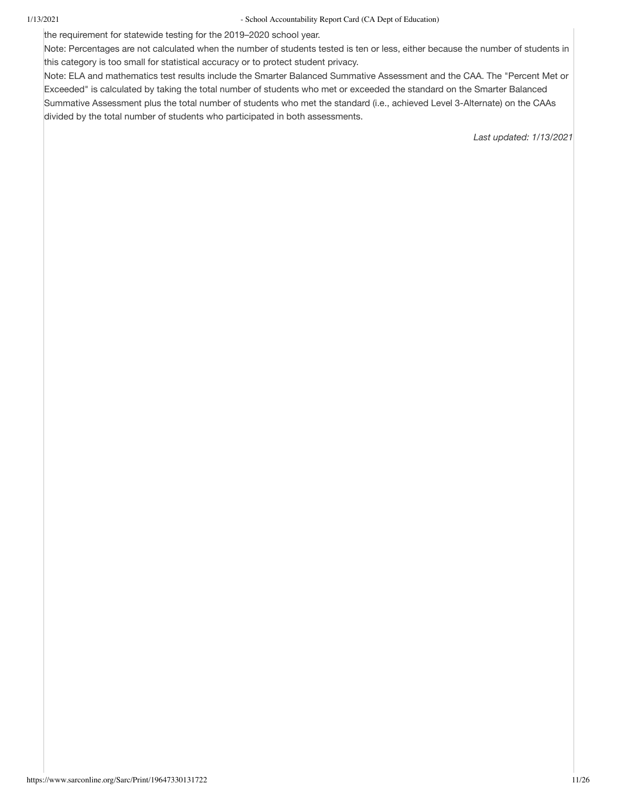the requirement for statewide testing for the 2019-2020 school year.

Note: Percentages are not calculated when the number of students tested is ten or less, either because the number of students in this category is too small for statistical accuracy or to protect student privacy.

Note: ELA and mathematics test results include the Smarter Balanced Summative Assessment and the CAA. The "Percent Met or Exceeded" is calculated by taking the total number of students who met or exceeded the standard on the Smarter Balanced Summative Assessment plus the total number of students who met the standard (i.e., achieved Level 3-Alternate) on the CAAs divided by the total number of students who participated in both assessments.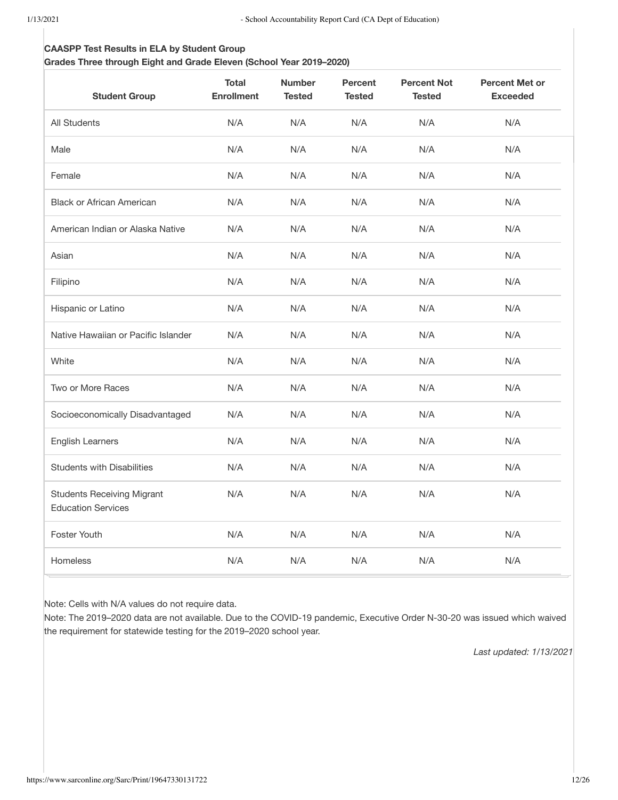#### **CAASPP Test Results in ELA by Student Group**

#### Grades Three through Eight and Grade Eleven (School Year 2019-2020)

| <b>Student Group</b>                                           | <b>Total</b><br><b>Enrollment</b> | <b>Number</b><br><b>Tested</b> | <b>Percent</b><br><b>Tested</b> | <b>Percent Not</b><br><b>Tested</b> | <b>Percent Met or</b><br><b>Exceeded</b> |
|----------------------------------------------------------------|-----------------------------------|--------------------------------|---------------------------------|-------------------------------------|------------------------------------------|
| All Students                                                   | N/A                               | N/A                            | N/A                             | N/A                                 | N/A                                      |
| Male                                                           | N/A                               | N/A                            | N/A                             | N/A                                 | N/A                                      |
| Female                                                         | N/A                               | N/A                            | N/A                             | N/A                                 | N/A                                      |
| <b>Black or African American</b>                               | N/A                               | N/A                            | N/A                             | N/A                                 | N/A                                      |
| American Indian or Alaska Native                               | N/A                               | N/A                            | N/A                             | N/A                                 | N/A                                      |
| Asian                                                          | N/A                               | N/A                            | N/A                             | N/A                                 | N/A                                      |
| Filipino                                                       | N/A                               | N/A                            | N/A                             | N/A                                 | N/A                                      |
| Hispanic or Latino                                             | N/A                               | N/A                            | N/A                             | N/A                                 | N/A                                      |
| Native Hawaiian or Pacific Islander                            | N/A                               | N/A                            | N/A                             | N/A                                 | N/A                                      |
| White                                                          | N/A                               | N/A                            | N/A                             | N/A                                 | N/A                                      |
| Two or More Races                                              | N/A                               | N/A                            | N/A                             | N/A                                 | N/A                                      |
| Socioeconomically Disadvantaged                                | N/A                               | N/A                            | N/A                             | N/A                                 | N/A                                      |
| <b>English Learners</b>                                        | N/A                               | N/A                            | N/A                             | N/A                                 | N/A                                      |
| <b>Students with Disabilities</b>                              | N/A                               | N/A                            | N/A                             | N/A                                 | N/A                                      |
| <b>Students Receiving Migrant</b><br><b>Education Services</b> | N/A                               | N/A                            | N/A                             | N/A                                 | N/A                                      |
| Foster Youth                                                   | N/A                               | N/A                            | N/A                             | N/A                                 | N/A                                      |
| Homeless                                                       | N/A                               | N/A                            | N/A                             | N/A                                 | N/A                                      |

Note: Cells with N/A values do not require data.

Note: The 2019-2020 data are not available. Due to the COVID-19 pandemic, Executive Order N-30-20 was issued which waived the requirement for statewide testing for the 2019-2020 school year.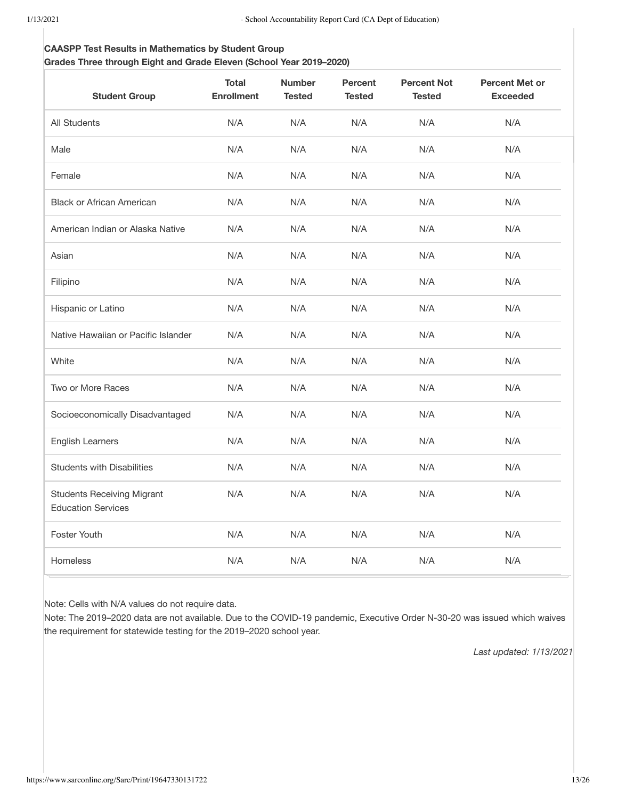#### **CAASPP Test Results in Mathematics by Student Group**

#### Grades Three through Eight and Grade Eleven (School Year 2019-2020)

| <b>Student Group</b>                                           | <b>Total</b><br><b>Enrollment</b> | <b>Number</b><br><b>Tested</b> | <b>Percent</b><br><b>Tested</b> | <b>Percent Not</b><br><b>Tested</b> | <b>Percent Met or</b><br><b>Exceeded</b> |
|----------------------------------------------------------------|-----------------------------------|--------------------------------|---------------------------------|-------------------------------------|------------------------------------------|
| <b>All Students</b>                                            | N/A                               | N/A                            | N/A                             | N/A                                 | N/A                                      |
| Male                                                           | N/A                               | N/A                            | N/A                             | N/A                                 | N/A                                      |
| Female                                                         | N/A                               | N/A                            | N/A                             | N/A                                 | N/A                                      |
| <b>Black or African American</b>                               | N/A                               | N/A                            | N/A                             | N/A                                 | N/A                                      |
| American Indian or Alaska Native                               | N/A                               | N/A                            | N/A                             | N/A                                 | N/A                                      |
| Asian                                                          | N/A                               | N/A                            | N/A                             | N/A                                 | N/A                                      |
| Filipino                                                       | N/A                               | N/A                            | N/A                             | N/A                                 | N/A                                      |
| Hispanic or Latino                                             | N/A                               | N/A                            | N/A                             | N/A                                 | N/A                                      |
| Native Hawaiian or Pacific Islander                            | N/A                               | N/A                            | N/A                             | N/A                                 | N/A                                      |
| White                                                          | N/A                               | N/A                            | N/A                             | N/A                                 | N/A                                      |
| Two or More Races                                              | N/A                               | N/A                            | N/A                             | N/A                                 | N/A                                      |
| Socioeconomically Disadvantaged                                | N/A                               | N/A                            | N/A                             | N/A                                 | N/A                                      |
| <b>English Learners</b>                                        | N/A                               | N/A                            | N/A                             | N/A                                 | N/A                                      |
| <b>Students with Disabilities</b>                              | N/A                               | N/A                            | N/A                             | N/A                                 | N/A                                      |
| <b>Students Receiving Migrant</b><br><b>Education Services</b> | N/A                               | N/A                            | N/A                             | N/A                                 | N/A                                      |
| Foster Youth                                                   | N/A                               | N/A                            | N/A                             | N/A                                 | N/A                                      |
| Homeless                                                       | N/A                               | N/A                            | N/A                             | N/A                                 | N/A                                      |

Note: Cells with N/A values do not require data.

Note: The 2019-2020 data are not available. Due to the COVID-19 pandemic, Executive Order N-30-20 was issued which waives the requirement for statewide testing for the 2019-2020 school year.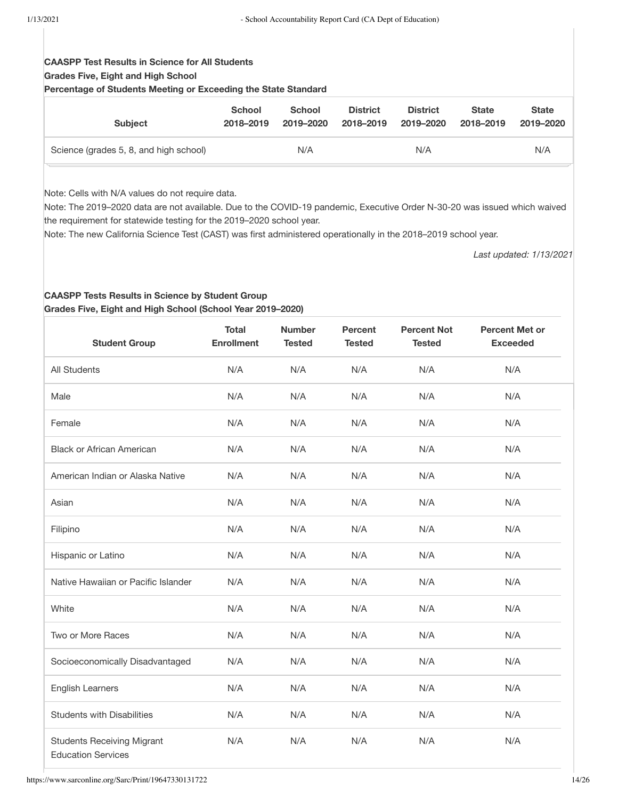# **CAASPP Test Results in Science for All Students Grades Five, Eight and High School**

Percentage of Students Meeting or Exceeding the State Standard

| <b>Subject</b>                         | <b>School</b> | <b>School</b> | <b>District</b> | <b>District</b> | <b>State</b> | <b>State</b> |
|----------------------------------------|---------------|---------------|-----------------|-----------------|--------------|--------------|
|                                        | 2018-2019     | 2019-2020     | 2018-2019       | 2019-2020       | 2018–2019    | 2019-2020    |
| Science (grades 5, 8, and high school) |               | N/A           |                 | N/A             |              | N/A          |

Note: Cells with N/A values do not require data.

Note: The 2019-2020 data are not available. Due to the COVID-19 pandemic, Executive Order N-30-20 was issued which waived the requirement for statewide testing for the 2019-2020 school year.

Note: The new California Science Test (CAST) was first administered operationally in the 2018-2019 school year.

Last updated: 1/13/2021

#### **CAASPP Tests Results in Science by Student Group** Grades Five, Eight and High School (School Year 2019-2020)

| <b>Student Group</b>                                           | <b>Total</b><br><b>Enrollment</b> | <b>Number</b><br><b>Tested</b> | <b>Percent</b><br><b>Tested</b> | <b>Percent Not</b><br><b>Tested</b> | <b>Percent Met or</b><br><b>Exceeded</b> |
|----------------------------------------------------------------|-----------------------------------|--------------------------------|---------------------------------|-------------------------------------|------------------------------------------|
| <b>All Students</b>                                            | N/A                               | N/A                            | N/A                             | N/A                                 | N/A                                      |
| Male                                                           | N/A                               | N/A                            | N/A                             | N/A                                 | N/A                                      |
| Female                                                         | N/A                               | N/A                            | N/A                             | N/A                                 | N/A                                      |
| <b>Black or African American</b>                               | N/A                               | N/A                            | N/A                             | N/A                                 | N/A                                      |
| American Indian or Alaska Native                               | N/A                               | N/A                            | N/A                             | N/A                                 | N/A                                      |
| Asian                                                          | N/A                               | N/A                            | N/A                             | N/A                                 | N/A                                      |
| Filipino                                                       | N/A                               | N/A                            | N/A                             | N/A                                 | N/A                                      |
| Hispanic or Latino                                             | N/A                               | N/A                            | N/A                             | N/A                                 | N/A                                      |
| Native Hawaiian or Pacific Islander                            | N/A                               | N/A                            | N/A                             | N/A                                 | N/A                                      |
| White                                                          | N/A                               | N/A                            | N/A                             | N/A                                 | N/A                                      |
| Two or More Races                                              | N/A                               | N/A                            | N/A                             | N/A                                 | N/A                                      |
| Socioeconomically Disadvantaged                                | N/A                               | N/A                            | N/A                             | N/A                                 | N/A                                      |
| <b>English Learners</b>                                        | N/A                               | N/A                            | N/A                             | N/A                                 | N/A                                      |
| <b>Students with Disabilities</b>                              | N/A                               | N/A                            | N/A                             | N/A                                 | N/A                                      |
| <b>Students Receiving Migrant</b><br><b>Education Services</b> | N/A                               | N/A                            | N/A                             | N/A                                 | N/A                                      |

https://www.sarconline.org/Sarc/Print/19647330131722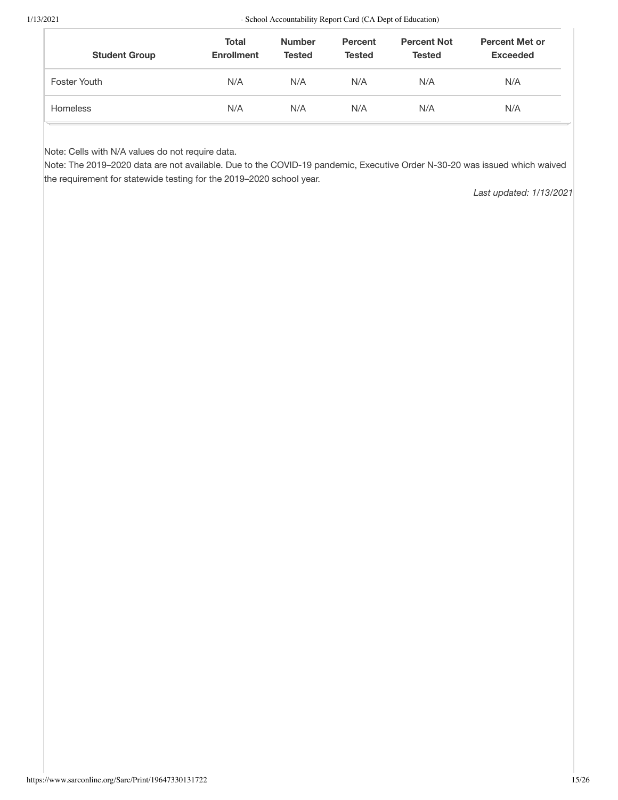| <b>Student Group</b> | <b>Total</b><br><b>Enrollment</b> | <b>Number</b><br><b>Tested</b> | <b>Percent</b><br><b>Tested</b> | <b>Percent Not</b><br><b>Tested</b> | <b>Percent Met or</b><br><b>Exceeded</b> |
|----------------------|-----------------------------------|--------------------------------|---------------------------------|-------------------------------------|------------------------------------------|
| Foster Youth         | N/A                               | N/A                            | N/A                             | N/A                                 | N/A                                      |
| <b>Homeless</b>      | N/A                               | N/A                            | N/A                             | N/A                                 | N/A                                      |

Note: Cells with N/A values do not require data.

Note: The 2019-2020 data are not available. Due to the COVID-19 pandemic, Executive Order N-30-20 was issued which waived the requirement for statewide testing for the 2019-2020 school year.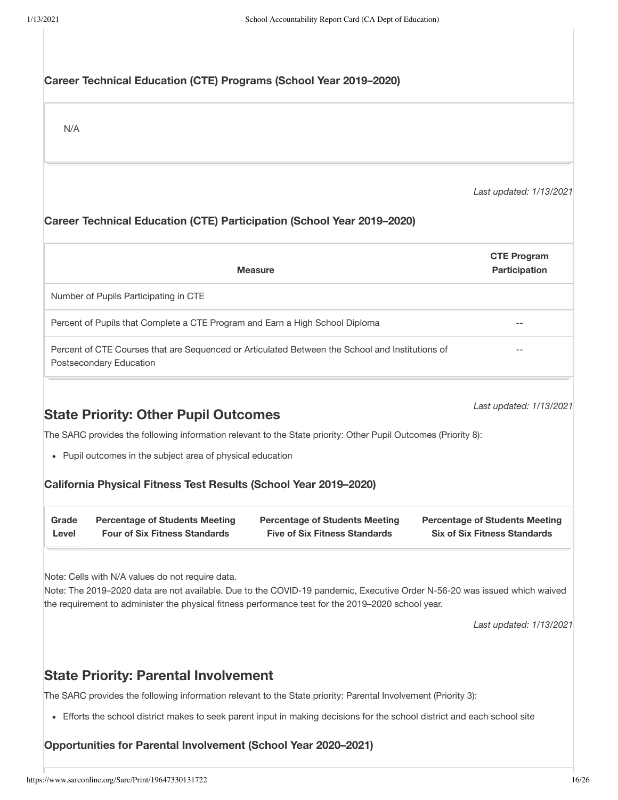# Career Technical Education (CTE) Programs (School Year 2019-2020)

 $N/A$ 

Last updated: 1/13/2021

# Career Technical Education (CTE) Participation (School Year 2019-2020)

| <b>Measure</b>                                                                                                             | <b>CTE Program</b><br><b>Participation</b> |
|----------------------------------------------------------------------------------------------------------------------------|--------------------------------------------|
| Number of Pupils Participating in CTE                                                                                      |                                            |
| Percent of Pupils that Complete a CTE Program and Earn a High School Diploma                                               | --                                         |
| Percent of CTE Courses that are Sequenced or Articulated Between the School and Institutions of<br>Postsecondary Education | --                                         |

# **State Priority: Other Pupil Outcomes**

Last updated: 1/13/2021

The SARC provides the following information relevant to the State priority: Other Pupil Outcomes (Priority 8):

• Pupil outcomes in the subject area of physical education

#### California Physical Fitness Test Results (School Year 2019-2020)

| Grade | <b>Percentage of Students Meeting</b> | <b>Percentage of Students Meeting</b> | <b>Percentage of Students Meeting</b> |
|-------|---------------------------------------|---------------------------------------|---------------------------------------|
| ∟evel | <b>Four of Six Fitness Standards</b>  | <b>Five of Six Fitness Standards</b>  | <b>Six of Six Fitness Standards</b>   |

Note: Cells with N/A values do not require data.

Note: The 2019-2020 data are not available. Due to the COVID-19 pandemic, Executive Order N-56-20 was issued which waived the requirement to administer the physical fitness performance test for the 2019-2020 school year.

Last updated: 1/13/2021

# **State Priority: Parental Involvement**

The SARC provides the following information relevant to the State priority: Parental Involvement (Priority 3):

• Efforts the school district makes to seek parent input in making decisions for the school district and each school site

# Opportunities for Parental Involvement (School Year 2020-2021)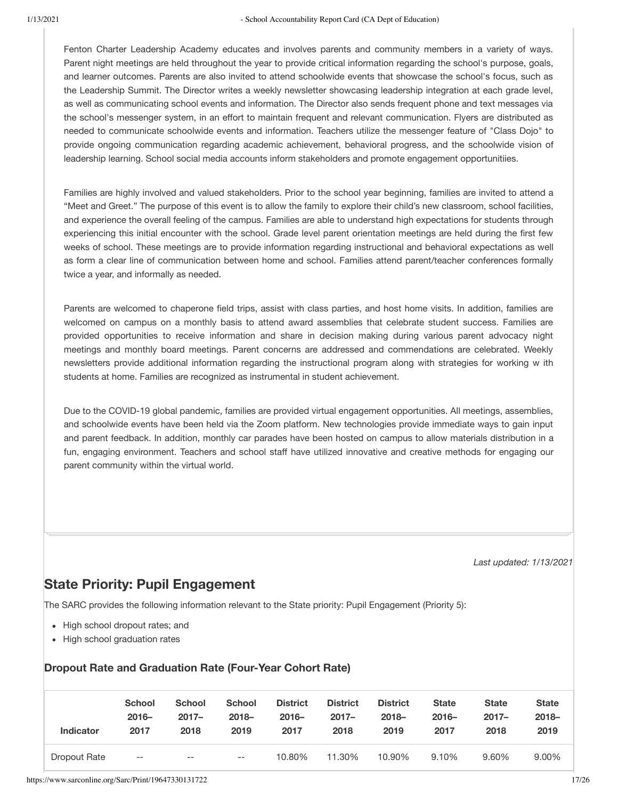Fenton Charter Leadership Academy educates and involves parents and community members in a variety of ways. Parent night meetings are held throughout the year to provide critical information regarding the school's purpose, goals, and learner outcomes. Parents are also invited to attend schoolwide events that showcase the school's focus, such as the Leadership Summit. The Director writes a weekly newsletter showcasing leadership integration at each grade level, as well as communicating school events and information. The Director also sends frequent phone and text messages via the school's messenger system, in an effort to maintain frequent and relevant communication. Flyers are distributed as needed to communicate schoolwide events and information. Teachers utilize the messenger feature of "Class Dojo" to provide ongoing communication regarding academic achievement, behavioral progress, and the schoolwide vision of leadership learning. School social media accounts inform stakeholders and promote engagement opportunitiies.

Families are highly involved and valued stakeholders. Prior to the school year beginning, families are invited to attend a "Meet and Greet." The purpose of this event is to allow the family to explore their child's new classroom, school facilities, and experience the overall feeling of the campus. Families are able to understand high expectations for students through experiencing this initial encounter with the school. Grade level parent orientation meetings are held during the first few weeks of school. These meetings are to provide information regarding instructional and behavioral expectations as well as form a clear line of communication between home and school. Families attend parent/teacher conferences formally twice a year, and informally as needed.

Parents are welcomed to chaperone field trips, assist with class parties, and host home visits. In addition, families are welcomed on campus on a monthly basis to attend award assemblies that celebrate student success. Families are provided opportunities to receive information and share in decision making during various parent advocacy night meetings and monthly board meetings. Parent concerns are addressed and commendations are celebrated. Weekly newsletters provide additional information regarding the instructional program along with strategies for working w ith students at home. Families are recognized as instrumental in student achievement.

Due to the COVID-19 global pandemic, families are provided virtual engagement opportunities. All meetings, assemblies, and schoolwide events have been held via the Zoom platform. New technologies provide immediate ways to gain input and parent feedback. In addition, monthly car parades have been hosted on campus to allow materials distribution in a fun, engaging environment. Teachers and school staff have utilized innovative and creative methods for engaging our parent community within the virtual world.

Last updated: 1/13/2021

# **State Priority: Pupil Engagement**

The SARC provides the following information relevant to the State priority: Pupil Engagement (Priority 5):

- High school dropout rates; and
- High school graduation rates

#### **Dropout Rate and Graduation Rate (Four-Year Cohort Rate)**

| <b>Indicator</b> | <b>School</b> | <b>School</b> | <b>School</b> | <b>District</b> | <b>District</b> | <b>District</b> | <b>State</b> | <b>State</b> | <b>State</b> |
|------------------|---------------|---------------|---------------|-----------------|-----------------|-----------------|--------------|--------------|--------------|
|                  | $2016 -$      | $2017 -$      | $2018 -$      | $2016 -$        | $2017 -$        | $2018 -$        | $2016 -$     | $2017 -$     | $2018 -$     |
|                  | 2017          | 2018          | 2019          | 2017            | 2018            | 2019            | 2017         | 2018         | 2019         |
| Dropout Rate     | $--$          | $- -$         | $- -$         | 10.80%          | 11.30%          | 10.90%          | 9.10%        | 9.60%        | 9.00%        |

https://www.sarconline.org/Sarc/Print/19647330131722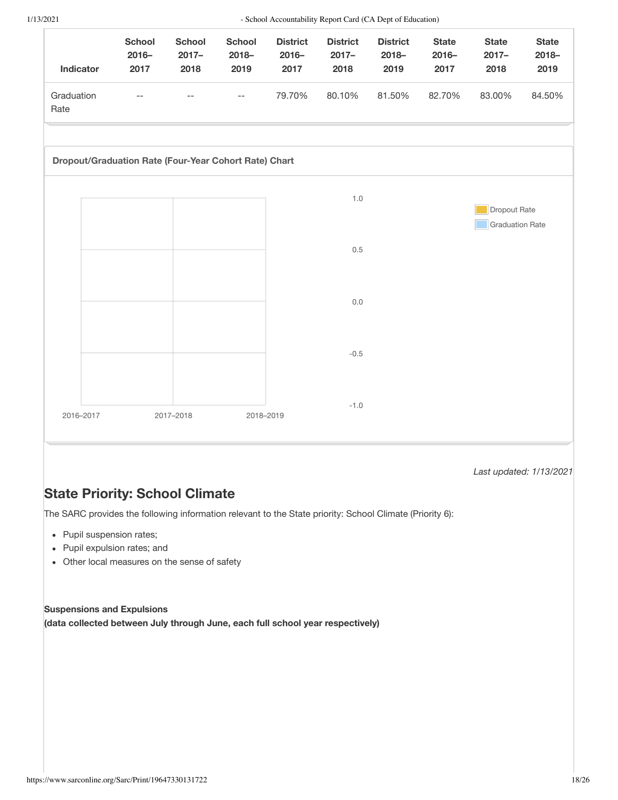| Indicator                                             | <b>School</b><br>$2016 -$<br>2017 | <b>School</b><br>$2017 -$<br>2018 | <b>School</b><br>$2018 -$<br>2019 | <b>District</b><br>$2016 -$<br>2017 | <b>District</b><br>$2017 -$<br>2018 | <b>District</b><br>$2018 -$<br>2019 | <b>State</b><br>$2016 -$<br>2017 | <b>State</b><br>$2017 -$<br>2018 | <b>State</b><br>$2018 -$<br>2019 |
|-------------------------------------------------------|-----------------------------------|-----------------------------------|-----------------------------------|-------------------------------------|-------------------------------------|-------------------------------------|----------------------------------|----------------------------------|----------------------------------|
| Graduation<br>Rate                                    | $-$                               | $-$                               | $- -$                             | 79.70%                              | 80.10%                              | 81.50%                              | 82.70%                           | 83.00%                           | 84.50%                           |
| Dropout/Graduation Rate (Four-Year Cohort Rate) Chart |                                   |                                   |                                   |                                     |                                     |                                     |                                  |                                  |                                  |
|                                                       |                                   |                                   |                                   |                                     | $1.0$                               |                                     |                                  | Dropout Rate                     |                                  |
|                                                       |                                   |                                   |                                   |                                     | 0.5                                 |                                     |                                  | <b>Graduation Rate</b>           |                                  |
|                                                       |                                   |                                   |                                   |                                     | $0.0\,$                             |                                     |                                  |                                  |                                  |
|                                                       |                                   |                                   |                                   |                                     | $-0.5$                              |                                     |                                  |                                  |                                  |
| 2016-2017                                             |                                   | 2017-2018                         | 2018-2019                         |                                     | $-1.0$                              |                                     |                                  |                                  |                                  |

Last updated: 1/13/2021

# **State Priority: School Climate**

The SARC provides the following information relevant to the State priority: School Climate (Priority 6):

- $\bullet$  Pupil suspension rates;
- $\bullet$  Pupil expulsion rates; and
- Other local measures on the sense of safety

#### **Suspensions and Expulsions**

**(data collected between July through June, each full school year respectively)**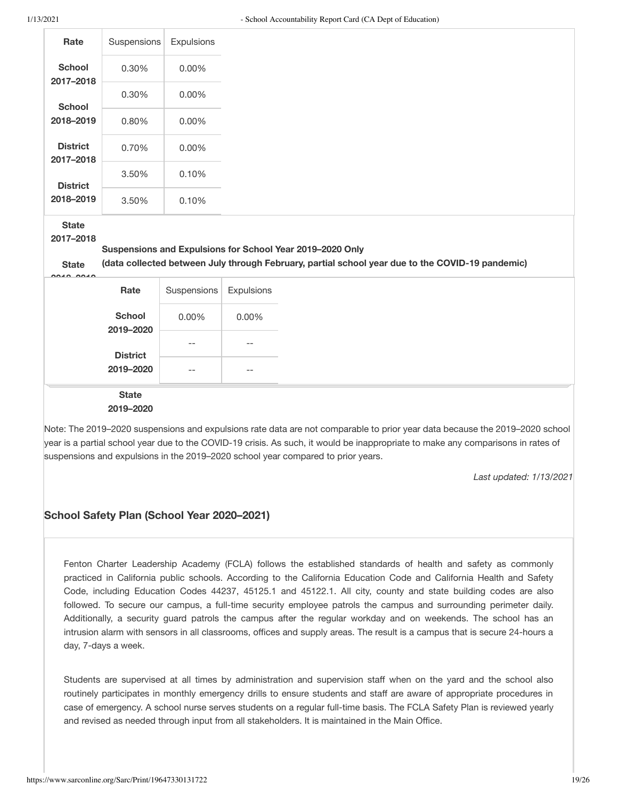| Rate                                      | Suspensions                | Expulsions  |            |                                                                                                                                                               |
|-------------------------------------------|----------------------------|-------------|------------|---------------------------------------------------------------------------------------------------------------------------------------------------------------|
| <b>School</b><br>2017-2018                | 0.30%                      | 0.00%       |            |                                                                                                                                                               |
| <b>School</b>                             | 0.30%                      | 0.00%       |            |                                                                                                                                                               |
| 2018-2019                                 | 0.80%                      | 0.00%       |            |                                                                                                                                                               |
| <b>District</b><br>2017-2018              | 0.70%                      | $0.00\%$    |            |                                                                                                                                                               |
| <b>District</b>                           | 3.50%                      | 0.10%       |            |                                                                                                                                                               |
| 2018-2019                                 | 3.50%                      | 0.10%       |            |                                                                                                                                                               |
| <b>State</b><br>2017-2018<br><b>State</b> |                            |             |            | Suspensions and Expulsions for School Year 2019-2020 Only<br>(data collected between July through February, partial school year due to the COVID-19 pandemic) |
|                                           | Rate                       | Suspensions | Expulsions |                                                                                                                                                               |
|                                           | <b>School</b><br>2019-2020 | 0.00%       | 0.00%      |                                                                                                                                                               |
|                                           | <b>District</b>            | $-$         |            |                                                                                                                                                               |
|                                           | 2019-2020                  | $-$         | --         |                                                                                                                                                               |
|                                           | <b>State</b><br>2019-2020  |             |            |                                                                                                                                                               |

Note: The 2019-2020 suspensions and expulsions rate data are not comparable to prior year data because the 2019-2020 school year is a partial school year due to the COVID-19 crisis. As such, it would be inappropriate to make any comparisons in rates of suspensions and expulsions in the 2019-2020 school year compared to prior years.

Last updated: 1/13/2021

# School Safety Plan (School Year 2020-2021)

Fenton Charter Leadership Academy (FCLA) follows the established standards of health and safety as commonly practiced in California public schools. According to the California Education Code and California Health and Safety Code, including Education Codes 44237, 45125.1 and 45122.1. All city, county and state building codes are also followed. To secure our campus, a full-time security employee patrols the campus and surrounding perimeter daily. Additionally, a security guard patrols the campus after the regular workday and on weekends. The school has an intrusion alarm with sensors in all classrooms, offices and supply areas. The result is a campus that is secure 24-hours a day, 7-days a week.

Students are supervised at all times by administration and supervision staff when on the yard and the school also routinely participates in monthly emergency drills to ensure students and staff are aware of appropriate procedures in case of emergency. A school nurse serves students on a regular full-time basis. The FCLA Safety Plan is reviewed yearly and revised as needed through input from all stakeholders. It is maintained in the Main Office.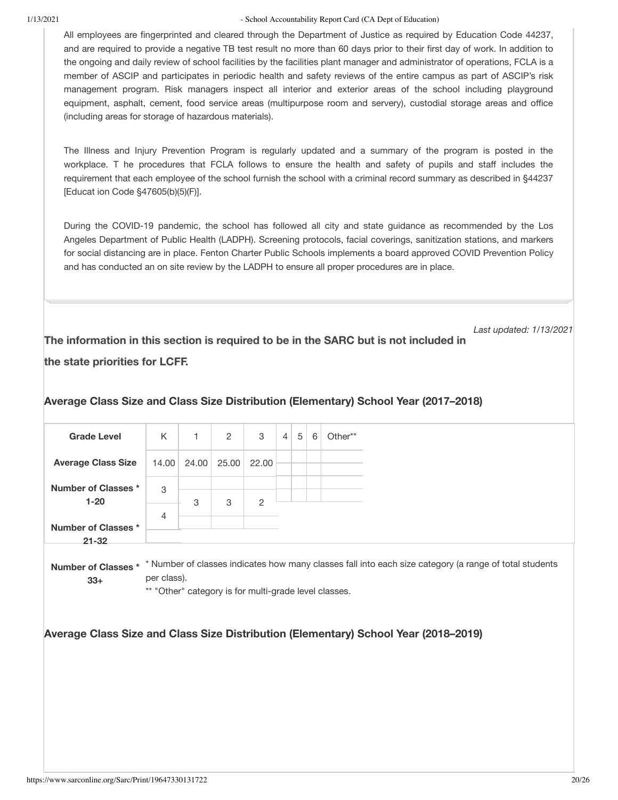All employees are fingerprinted and cleared through the Department of Justice as required by Education Code 44237, and are required to provide a negative TB test result no more than 60 days prior to their first day of work. In addition to the ongoing and daily review of school facilities by the facilities plant manager and administrator of operations, FCLA is a member of ASCIP and participates in periodic health and safety reviews of the entire campus as part of ASCIP's risk management program. Risk managers inspect all interior and exterior areas of the school including playground equipment, asphalt, cement, food service areas (multipurpose room and servery), custodial storage areas and office (including areas for storage of hazardous materials).

The Illness and Injury Prevention Program is regularly updated and a summary of the program is posted in the workplace. T he procedures that FCLA follows to ensure the health and safety of pupils and staff includes the requirement that each employee of the school furnish the school with a criminal record summary as described in §44237 [Educat ion Code §47605(b)(5)(F)].

During the COVID-19 pandemic, the school has followed all city and state quidance as recommended by the Los Angeles Department of Public Health (LADPH). Screening protocols, facial coverings, sanitization stations, and markers for social distancing are in place. Fenton Charter Public Schools implements a board approved COVID Prevention Policy and has conducted an on site review by the LADPH to ensure all proper procedures are in place.

Last updated: 1/13/2021 The information in this section is required to be in the SARC but is not included in

# the state priorities for LCFF.

| <b>Grade Level</b>                     | K              | 1     | 2                                                     | 3     | $\overline{4}$ | 5 | 6 | Other**                                                                                                                    |
|----------------------------------------|----------------|-------|-------------------------------------------------------|-------|----------------|---|---|----------------------------------------------------------------------------------------------------------------------------|
| <b>Average Class Size</b>              | 14.00          | 24.00 | 25.00                                                 | 22.00 |                |   |   |                                                                                                                            |
| <b>Number of Classes *</b><br>$1 - 20$ | 3              | 3     | 3                                                     | 2     |                |   |   |                                                                                                                            |
| <b>Number of Classes *</b>             | $\overline{4}$ |       |                                                       |       |                |   |   |                                                                                                                            |
| $21 - 32$                              |                |       |                                                       |       |                |   |   |                                                                                                                            |
| $33+$                                  | per class).    |       | ** "Other" category is for multi-grade level classes. |       |                |   |   | Number of Classes * * Number of classes indicates how many classes fall into each size category (a range of total students |
|                                        |                |       |                                                       |       |                |   |   | Average Class Size and Class Size Distribution (Elementary) School Year (2018-2019)                                        |
|                                        |                |       |                                                       |       |                |   |   |                                                                                                                            |
|                                        |                |       |                                                       |       |                |   |   |                                                                                                                            |

# Average Class Size and Class Size Distribution (Elementary) School Year (2017–2018)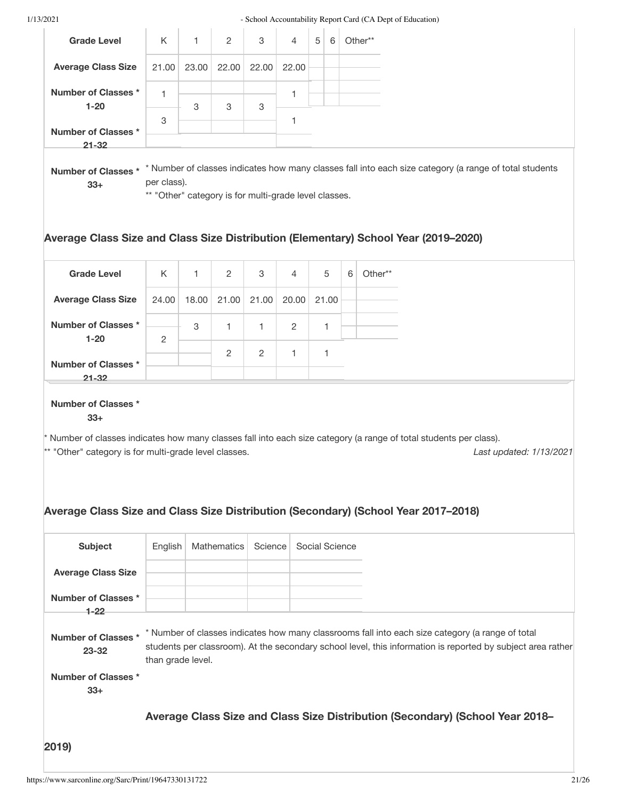| <b>Grade Level</b><br><b>Average Class Size</b><br><b>Number of Classes *</b><br>$1 - 20$<br><b>Number of Classes *</b><br>$21 - 32$<br><b>Number of Classes *</b><br>$33+$<br><b>Grade Level</b><br><b>Average Class Size</b><br><b>Number of Classes *</b><br>$1 - 20$<br><b>Number of Classes *</b><br>$21 - 32$<br><b>Number of Classes *</b><br>$33+$<br>** "Other" category is for multi-grade level classes.<br><b>Subject</b><br><b>Average Class Size</b><br><b>Number of Classes *</b><br>$1 - 22$<br><b>Number of Classes *</b><br>$23 - 32$<br><b>Number of Classes *</b><br>$33+$ |                |                                                       |             |         |                |   |                |   |                                                                                                                                                                                                                                   |
|------------------------------------------------------------------------------------------------------------------------------------------------------------------------------------------------------------------------------------------------------------------------------------------------------------------------------------------------------------------------------------------------------------------------------------------------------------------------------------------------------------------------------------------------------------------------------------------------|----------------|-------------------------------------------------------|-------------|---------|----------------|---|----------------|---|-----------------------------------------------------------------------------------------------------------------------------------------------------------------------------------------------------------------------------------|
|                                                                                                                                                                                                                                                                                                                                                                                                                                                                                                                                                                                                | Κ              | 1                                                     | 2           | 3       | 4              | 5 | 6              |   | Other**                                                                                                                                                                                                                           |
|                                                                                                                                                                                                                                                                                                                                                                                                                                                                                                                                                                                                | 21.00          | 23.00                                                 | 22.00       | 22.00   | 22.00          |   |                |   |                                                                                                                                                                                                                                   |
|                                                                                                                                                                                                                                                                                                                                                                                                                                                                                                                                                                                                | 1              | 3                                                     | 3           | 3       | 1              |   |                |   |                                                                                                                                                                                                                                   |
|                                                                                                                                                                                                                                                                                                                                                                                                                                                                                                                                                                                                | 3              |                                                       |             |         | 1              |   |                |   |                                                                                                                                                                                                                                   |
|                                                                                                                                                                                                                                                                                                                                                                                                                                                                                                                                                                                                |                |                                                       |             |         |                |   |                |   |                                                                                                                                                                                                                                   |
|                                                                                                                                                                                                                                                                                                                                                                                                                                                                                                                                                                                                | per class).    | ** "Other" category is for multi-grade level classes. |             |         |                |   |                |   | * Number of classes indicates how many classes fall into each size category (a range of total students                                                                                                                            |
|                                                                                                                                                                                                                                                                                                                                                                                                                                                                                                                                                                                                |                |                                                       |             |         |                |   |                |   | Average Class Size and Class Size Distribution (Elementary) School Year (2019–2020)                                                                                                                                               |
|                                                                                                                                                                                                                                                                                                                                                                                                                                                                                                                                                                                                | K              | 1                                                     | 2           | 3       | 4              |   | 5              | 6 | Other**                                                                                                                                                                                                                           |
|                                                                                                                                                                                                                                                                                                                                                                                                                                                                                                                                                                                                | 24.00          | 18.00                                                 | 21.00       | 21.00   | 20.00          |   | 21.00          |   |                                                                                                                                                                                                                                   |
|                                                                                                                                                                                                                                                                                                                                                                                                                                                                                                                                                                                                | $\overline{c}$ | 3                                                     | 1           | 1       | $\overline{2}$ |   | 1              |   |                                                                                                                                                                                                                                   |
|                                                                                                                                                                                                                                                                                                                                                                                                                                                                                                                                                                                                |                |                                                       | 2           | 2       | 1              |   | 1              |   |                                                                                                                                                                                                                                   |
|                                                                                                                                                                                                                                                                                                                                                                                                                                                                                                                                                                                                |                |                                                       |             |         |                |   |                |   | Number of classes indicates how many classes fall into each size category (a range of total students per class).<br>Last updated: 1/13/2021<br>Average Class Size and Class Size Distribution (Secondary) (School Year 2017-2018) |
|                                                                                                                                                                                                                                                                                                                                                                                                                                                                                                                                                                                                | English        |                                                       | Mathematics | Science |                |   | Social Science |   |                                                                                                                                                                                                                                   |
|                                                                                                                                                                                                                                                                                                                                                                                                                                                                                                                                                                                                |                |                                                       |             |         |                |   |                |   |                                                                                                                                                                                                                                   |
|                                                                                                                                                                                                                                                                                                                                                                                                                                                                                                                                                                                                |                |                                                       |             |         |                |   |                |   |                                                                                                                                                                                                                                   |
|                                                                                                                                                                                                                                                                                                                                                                                                                                                                                                                                                                                                |                | than grade level.                                     |             |         |                |   |                |   | * Number of classes indicates how many classrooms fall into each size category (a range of total<br>students per classroom). At the secondary school level, this information is reported by subject area rather                   |
|                                                                                                                                                                                                                                                                                                                                                                                                                                                                                                                                                                                                |                |                                                       |             |         |                |   |                |   |                                                                                                                                                                                                                                   |
|                                                                                                                                                                                                                                                                                                                                                                                                                                                                                                                                                                                                |                |                                                       |             |         |                |   |                |   | Average Class Size and Class Size Distribution (Secondary) (School Year 2018–                                                                                                                                                     |
| 2019)                                                                                                                                                                                                                                                                                                                                                                                                                                                                                                                                                                                          |                |                                                       |             |         |                |   |                |   |                                                                                                                                                                                                                                   |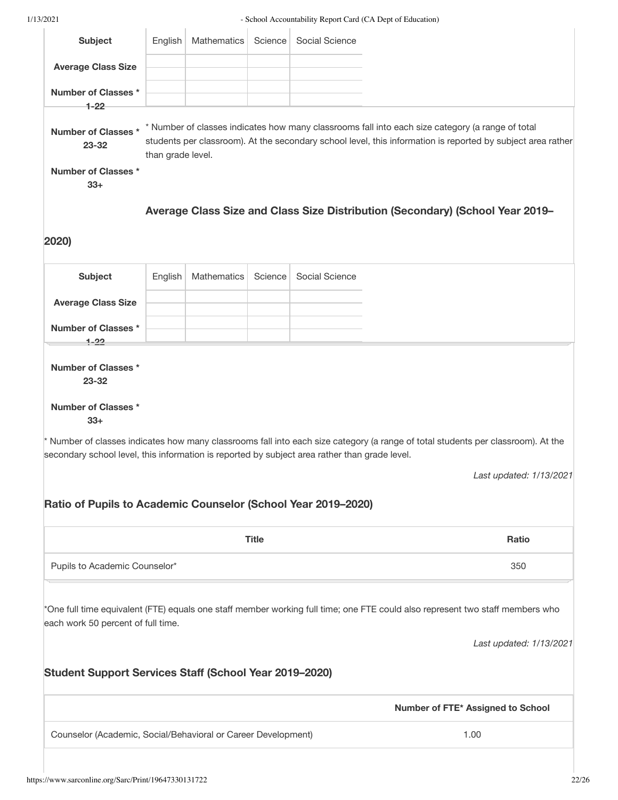| <b>Subject</b>                                                                                | English           | Mathematics | Science      | Social Science |                                                                                                                                                                                                                 |
|-----------------------------------------------------------------------------------------------|-------------------|-------------|--------------|----------------|-----------------------------------------------------------------------------------------------------------------------------------------------------------------------------------------------------------------|
| <b>Average Class Size</b>                                                                     |                   |             |              |                |                                                                                                                                                                                                                 |
| <b>Number of Classes *</b>                                                                    |                   |             |              |                |                                                                                                                                                                                                                 |
| $1 - 22$                                                                                      |                   |             |              |                |                                                                                                                                                                                                                 |
| <b>Number of Classes</b><br>23-32                                                             | than grade level. |             |              |                | * Number of classes indicates how many classrooms fall into each size category (a range of total<br>students per classroom). At the secondary school level, this information is reported by subject area rather |
| Number of Classes *<br>$33+$                                                                  |                   |             |              |                |                                                                                                                                                                                                                 |
|                                                                                               |                   |             |              |                | Average Class Size and Class Size Distribution (Secondary) (School Year 2019-                                                                                                                                   |
|                                                                                               |                   |             |              |                |                                                                                                                                                                                                                 |
| 2020)                                                                                         |                   |             |              |                |                                                                                                                                                                                                                 |
| <b>Subject</b>                                                                                | English           | Mathematics | Science      | Social Science |                                                                                                                                                                                                                 |
| <b>Average Class Size</b>                                                                     |                   |             |              |                |                                                                                                                                                                                                                 |
| <b>Number of Classes *</b>                                                                    |                   |             |              |                |                                                                                                                                                                                                                 |
| $1 - 22$                                                                                      |                   |             |              |                |                                                                                                                                                                                                                 |
| <b>Number of Classes *</b><br>23-32                                                           |                   |             |              |                |                                                                                                                                                                                                                 |
|                                                                                               |                   |             |              |                |                                                                                                                                                                                                                 |
| <b>Number of Classes *</b><br>$33+$                                                           |                   |             |              |                | * Number of classes indicates how many classrooms fall into each size category (a range of total students per classroom). At the                                                                                |
| secondary school level, this information is reported by subject area rather than grade level. |                   |             |              |                |                                                                                                                                                                                                                 |
|                                                                                               |                   |             |              |                |                                                                                                                                                                                                                 |
| Ratio of Pupils to Academic Counselor (School Year 2019-2020)                                 |                   |             |              |                | Last updated: 1/13/2021                                                                                                                                                                                         |
|                                                                                               |                   |             | <b>Title</b> |                | <b>Ratio</b>                                                                                                                                                                                                    |
| Pupils to Academic Counselor*                                                                 |                   |             |              |                | 350                                                                                                                                                                                                             |
| each work 50 percent of full time.                                                            |                   |             |              |                | *One full time equivalent (FTE) equals one staff member working full time; one FTE could also represent two staff members who                                                                                   |
|                                                                                               |                   |             |              |                |                                                                                                                                                                                                                 |
| <b>Student Support Services Staff (School Year 2019-2020)</b>                                 |                   |             |              |                |                                                                                                                                                                                                                 |
|                                                                                               |                   |             |              |                | Last updated: 1/13/2021<br>Number of FTE* Assigned to School                                                                                                                                                    |
| Counselor (Academic, Social/Behavioral or Career Development)                                 |                   |             |              |                | 1.00                                                                                                                                                                                                            |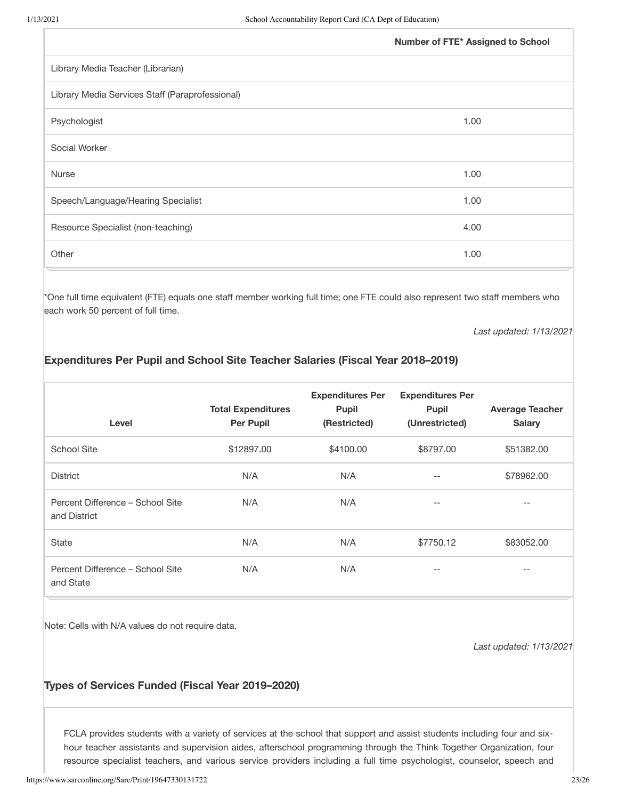| Number of FTE* Assigned to School |
|-----------------------------------|
|                                   |
|                                   |
| 1.00                              |
|                                   |
| 1.00                              |
| 1.00                              |
| 4.00                              |
| 1.00                              |
|                                   |

\*One full time equivalent (FTE) equals one staff member working full time; one FTE could also represent two staff members who each work 50 percent of full time.

Last updated: 1/13/2021

# Expenditures Per Pupil and School Site Teacher Salaries (Fiscal Year 2018-2019)

| Level                                            | <b>Total Expenditures</b><br><b>Per Pupil</b> | <b>Expenditures Per</b><br><b>Pupil</b><br>(Restricted) | <b>Expenditures Per</b><br><b>Pupil</b><br>(Unrestricted) | <b>Average Teacher</b><br><b>Salary</b> |
|--------------------------------------------------|-----------------------------------------------|---------------------------------------------------------|-----------------------------------------------------------|-----------------------------------------|
| <b>School Site</b>                               | \$12897.00                                    | \$4100.00                                               | \$8797.00                                                 | \$51382.00                              |
| <b>District</b>                                  | N/A                                           | N/A                                                     | $- -$                                                     | \$78962.00                              |
| Percent Difference - School Site<br>and District | N/A                                           | N/A                                                     | $- -$                                                     | $- -$                                   |
| <b>State</b>                                     | N/A                                           | N/A                                                     | \$7750.12                                                 | \$83052.00                              |
| Percent Difference - School Site<br>and State    | N/A                                           | N/A                                                     | $- -$                                                     | $- -$                                   |

Note: Cells with N/A values do not require data.

Last updated: 1/13/2021

#### Types of Services Funded (Fiscal Year 2019-2020)

FCLA provides students with a variety of services at the school that support and assist students including four and sixhour teacher assistants and supervision aides, afterschool programming through the Think Together Organization, four resource specialist teachers, and various service providers including a full time psychologist, counselor, speech and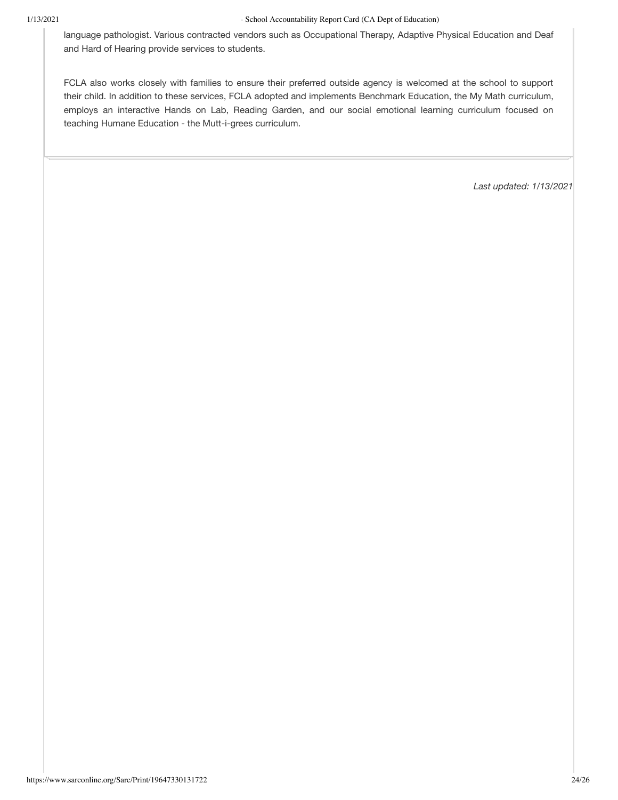language pathologist. Various contracted vendors such as Occupational Therapy, Adaptive Physical Education and Deaf and Hard of Hearing provide services to students.

FCLA also works closely with families to ensure their preferred outside agency is welcomed at the school to support their child. In addition to these services, FCLA adopted and implements Benchmark Education, the My Math curriculum, employs an interactive Hands on Lab, Reading Garden, and our social emotional learning curriculum focused on teaching Humane Education - the Mutt-i-grees curriculum.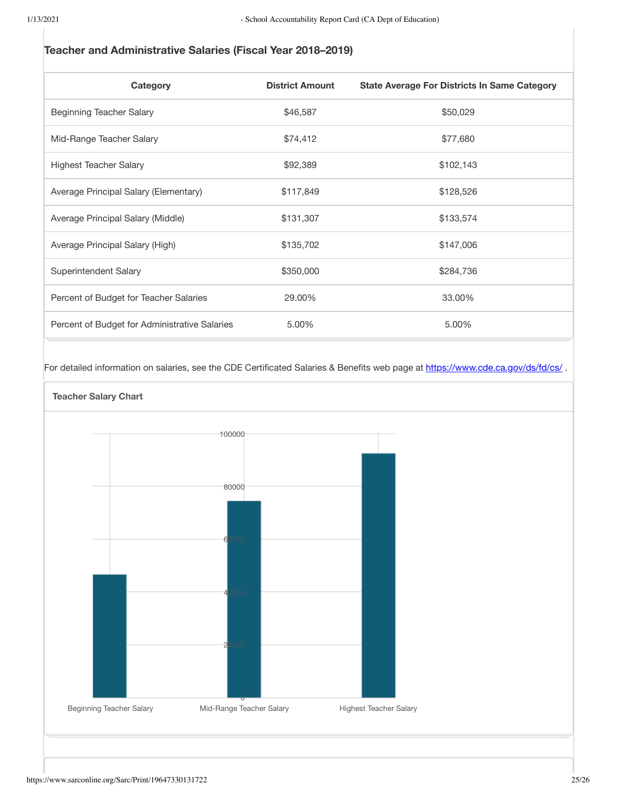# Teacher and Administrative Salaries (Fiscal Year 2018-2019)

| Category                                      | <b>District Amount</b> | <b>State Average For Districts In Same Category</b> |
|-----------------------------------------------|------------------------|-----------------------------------------------------|
| Beginning Teacher Salary                      | \$46,587               | \$50,029                                            |
| Mid-Range Teacher Salary                      | \$74,412               | \$77,680                                            |
| <b>Highest Teacher Salary</b>                 | \$92,389               | \$102,143                                           |
| Average Principal Salary (Elementary)         | \$117,849              | \$128,526                                           |
| Average Principal Salary (Middle)             | \$131,307              | \$133,574                                           |
| Average Principal Salary (High)               | \$135,702              | \$147,006                                           |
| Superintendent Salary                         | \$350,000              | \$284,736                                           |
| Percent of Budget for Teacher Salaries        | 29.00%                 | 33.00%                                              |
| Percent of Budget for Administrative Salaries | 5.00%                  | 5.00%                                               |

For detailed information on salaries, see the CDE Certificated Salaries & Benefits web page at https://www.cde.ca.gov/ds/fd/cs/.